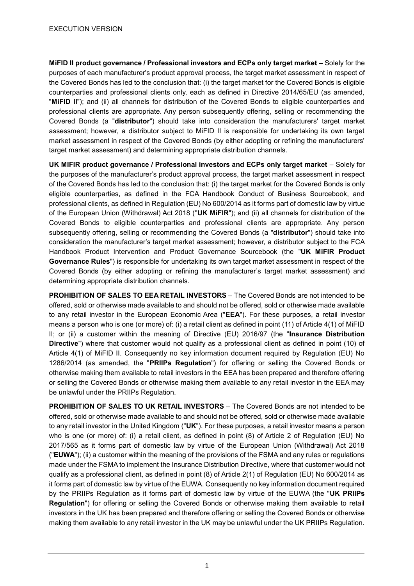**MiFID II product governance / Professional investors and ECPs only target market** – Solely for the purposes of each manufacturer's product approval process, the target market assessment in respect of the Covered Bonds has led to the conclusion that: (i) the target market for the Covered Bonds is eligible counterparties and professional clients only, each as defined in Directive 2014/65/EU (as amended, "**MiFID II**"); and (ii) all channels for distribution of the Covered Bonds to eligible counterparties and professional clients are appropriate. Any person subsequently offering, selling or recommending the Covered Bonds (a "**distributor**") should take into consideration the manufacturers' target market assessment; however, a distributor subject to MiFID II is responsible for undertaking its own target market assessment in respect of the Covered Bonds (by either adopting or refining the manufacturers' target market assessment) and determining appropriate distribution channels.

**UK MIFIR product governance / Professional investors and ECPs only target market** – Solely for the purposes of the manufacturer's product approval process, the target market assessment in respect of the Covered Bonds has led to the conclusion that: (i) the target market for the Covered Bonds is only eligible counterparties, as defined in the FCA Handbook Conduct of Business Sourcebook, and professional clients, as defined in Regulation (EU) No 600/2014 as it forms part of domestic law by virtue of the European Union (Withdrawal) Act 2018 ("**UK MiFIR**"); and (ii) all channels for distribution of the Covered Bonds to eligible counterparties and professional clients are appropriate. Any person subsequently offering, selling or recommending the Covered Bonds (a "**distributor**") should take into consideration the manufacturer's target market assessment; however, a distributor subject to the FCA Handbook Product Intervention and Product Governance Sourcebook (the "**UK MiFIR Product Governance Rules**") is responsible for undertaking its own target market assessment in respect of the Covered Bonds (by either adopting or refining the manufacturer's target market assessment) and determining appropriate distribution channels.

**PROHIBITION OF SALES TO EEA RETAIL INVESTORS** – The Covered Bonds are not intended to be offered, sold or otherwise made available to and should not be offered, sold or otherwise made available to any retail investor in the European Economic Area ("**EEA**"). For these purposes, a retail investor means a person who is one (or more) of: (i) a retail client as defined in point (11) of Article 4(1) of MiFID II; or (ii) a customer within the meaning of Directive (EU) 2016/97 (the "**Insurance Distribution Directive**") where that customer would not qualify as a professional client as defined in point (10) of Article 4(1) of MiFID II. Consequently no key information document required by Regulation (EU) No 1286/2014 (as amended, the "**PRIIPs Regulation**") for offering or selling the Covered Bonds or otherwise making them available to retail investors in the EEA has been prepared and therefore offering or selling the Covered Bonds or otherwise making them available to any retail investor in the EEA may be unlawful under the PRIIPs Regulation.

**PROHIBITION OF SALES TO UK RETAIL INVESTORS** – The Covered Bonds are not intended to be offered, sold or otherwise made available to and should not be offered, sold or otherwise made available to any retail investor in the United Kingdom ("**UK**"). For these purposes, a retail investor means a person who is one (or more) of: (i) a retail client, as defined in point (8) of Article 2 of Regulation (EU) No 2017/565 as it forms part of domestic law by virtue of the European Union (Withdrawal) Act 2018 ("**EUWA**"); (ii) a customer within the meaning of the provisions of the FSMA and any rules or regulations made under the FSMA to implement the Insurance Distribution Directive, where that customer would not qualify as a professional client, as defined in point (8) of Article 2(1) of Regulation (EU) No 600/2014 as it forms part of domestic law by virtue of the EUWA. Consequently no key information document required by the PRIIPs Regulation as it forms part of domestic law by virtue of the EUWA (the "**UK PRIIPs Regulation**") for offering or selling the Covered Bonds or otherwise making them available to retail investors in the UK has been prepared and therefore offering or selling the Covered Bonds or otherwise making them available to any retail investor in the UK may be unlawful under the UK PRIIPs Regulation.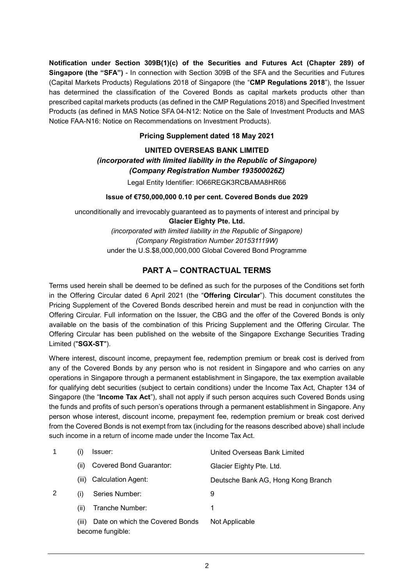**Notification under Section 309B(1)(c) of the Securities and Futures Act (Chapter 289) of Singapore (the "SFA")** - In connection with Section 309B of the SFA and the Securities and Futures (Capital Markets Products) Regulations 2018 of Singapore (the "**CMP Regulations 2018**"), the Issuer has determined the classification of the Covered Bonds as capital markets products other than prescribed capital markets products (as defined in the CMP Regulations 2018) and Specified Investment Products (as defined in MAS Notice SFA 04-N12: Notice on the Sale of Investment Products and MAS Notice FAA-N16: Notice on Recommendations on Investment Products).

## **Pricing Supplement dated 18 May 2021**

# **UNITED OVERSEAS BANK LIMITED** *(incorporated with limited liability in the Republic of Singapore) (Company Registration Number 193500026Z)*

Legal Entity Identifier: IO66REGK3RCBAMA8HR66

## **Issue of €750,000,000 0.10 per cent. Covered Bonds due 2029**

unconditionally and irrevocably guaranteed as to payments of interest and principal by **Glacier Eighty Pte. Ltd.** *(incorporated with limited liability in the Republic of Singapore) (Company Registration Number 201531119W)* under the U.S.\$8,000,000,000 Global Covered Bond Programme

# **PART A – CONTRACTUAL TERMS**

Terms used herein shall be deemed to be defined as such for the purposes of the Conditions set forth in the Offering Circular dated 6 April 2021 (the "**Offering Circular**"). This document constitutes the Pricing Supplement of the Covered Bonds described herein and must be read in conjunction with the Offering Circular. Full information on the Issuer, the CBG and the offer of the Covered Bonds is only available on the basis of the combination of this Pricing Supplement and the Offering Circular. The Offering Circular has been published on the website of the Singapore Exchange Securities Trading Limited ("**SGX-ST**").

Where interest, discount income, prepayment fee, redemption premium or break cost is derived from any of the Covered Bonds by any person who is not resident in Singapore and who carries on any operations in Singapore through a permanent establishment in Singapore, the tax exemption available for qualifying debt securities (subject to certain conditions) under the Income Tax Act, Chapter 134 of Singapore (the "**Income Tax Act**"), shall not apply if such person acquires such Covered Bonds using the funds and profits of such person's operations through a permanent establishment in Singapore. Any person whose interest, discount income, prepayment fee, redemption premium or break cost derived from the Covered Bonds is not exempt from tax (including for the reasons described above) shall include such income in a return of income made under the Income Tax Act.

|   |       | lssuer:                                             | United Overseas Bank Limited       |
|---|-------|-----------------------------------------------------|------------------------------------|
|   | (ii)  | <b>Covered Bond Guarantor:</b>                      | Glacier Eighty Pte. Ltd.           |
|   | (iii) | <b>Calculation Agent:</b>                           | Deutsche Bank AG, Hong Kong Branch |
| 2 | (i)   | Series Number:                                      | 9                                  |
|   | (ii)  | Tranche Number:                                     | 1                                  |
|   | (iii) | Date on which the Covered Bonds<br>become fungible: | Not Applicable                     |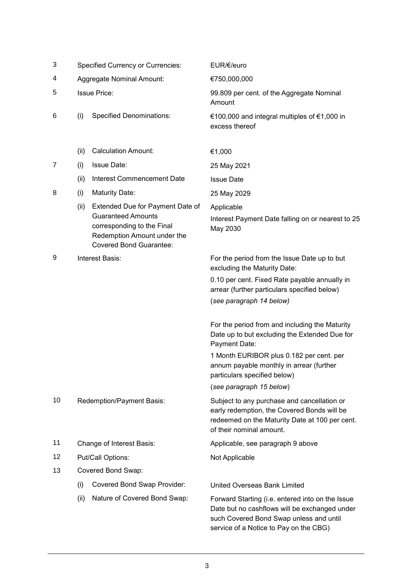| 3  | <b>Specified Currency or Currencies:</b> |                                                                                                                                                              | EUR/€/euro                                                                                                                                                                             |
|----|------------------------------------------|--------------------------------------------------------------------------------------------------------------------------------------------------------------|----------------------------------------------------------------------------------------------------------------------------------------------------------------------------------------|
| 4  | Aggregate Nominal Amount:                |                                                                                                                                                              | €750,000,000                                                                                                                                                                           |
| 5  | <b>Issue Price:</b>                      |                                                                                                                                                              | 99.809 per cent. of the Aggregate Nominal<br>Amount                                                                                                                                    |
| 6  | (i)                                      | <b>Specified Denominations:</b>                                                                                                                              | €100,000 and integral multiples of €1,000 in<br>excess thereof                                                                                                                         |
|    | (ii)                                     | <b>Calculation Amount:</b>                                                                                                                                   | €1,000                                                                                                                                                                                 |
| 7  | (i)                                      | <b>Issue Date:</b>                                                                                                                                           | 25 May 2021                                                                                                                                                                            |
|    | (ii)                                     | Interest Commencement Date                                                                                                                                   | <b>Issue Date</b>                                                                                                                                                                      |
| 8  | (i)                                      | <b>Maturity Date:</b>                                                                                                                                        | 25 May 2029                                                                                                                                                                            |
|    | (ii)                                     | Extended Due for Payment Date of<br><b>Guaranteed Amounts</b><br>corresponding to the Final<br>Redemption Amount under the<br><b>Covered Bond Guarantee:</b> | Applicable<br>Interest Payment Date falling on or nearest to 25<br>May 2030                                                                                                            |
| 9  |                                          | Interest Basis:                                                                                                                                              | For the period from the Issue Date up to but<br>excluding the Maturity Date:                                                                                                           |
|    |                                          |                                                                                                                                                              | 0.10 per cent. Fixed Rate payable annually in<br>arrear (further particulars specified below)<br>(see paragraph 14 below)                                                              |
|    |                                          |                                                                                                                                                              | For the period from and including the Maturity<br>Date up to but excluding the Extended Due for<br>Payment Date:                                                                       |
|    |                                          |                                                                                                                                                              | 1 Month EURIBOR plus 0.182 per cent. per<br>annum payable monthly in arrear (further<br>particulars specified below)                                                                   |
|    |                                          |                                                                                                                                                              | (see paragraph 15 below)                                                                                                                                                               |
| 10 |                                          | <b>Redemption/Payment Basis:</b>                                                                                                                             | Subject to any purchase and cancellation or<br>early redemption, the Covered Bonds will be<br>redeemed on the Maturity Date at 100 per cent.<br>of their nominal amount.               |
| 11 |                                          | Change of Interest Basis:                                                                                                                                    | Applicable, see paragraph 9 above                                                                                                                                                      |
| 12 |                                          | Put/Call Options:                                                                                                                                            | Not Applicable                                                                                                                                                                         |
| 13 |                                          | Covered Bond Swap:                                                                                                                                           |                                                                                                                                                                                        |
|    | (i)                                      | <b>Covered Bond Swap Provider:</b>                                                                                                                           | United Overseas Bank Limited                                                                                                                                                           |
|    | (ii)                                     | Nature of Covered Bond Swap:                                                                                                                                 | Forward Starting (i.e. entered into on the Issue<br>Date but no cashflows will be exchanged under<br>such Covered Bond Swap unless and until<br>service of a Notice to Pay on the CBG) |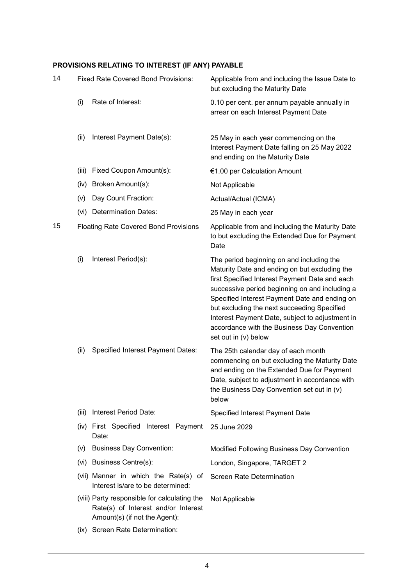# **PROVISIONS RELATING TO INTEREST (IF ANY) PAYABLE**

| 14 | <b>Fixed Rate Covered Bond Provisions:</b>   |                                                                                                                      | Applicable from and including the Issue Date to<br>but excluding the Maturity Date                                                                                                                                                                                                                                                                                                                                       |
|----|----------------------------------------------|----------------------------------------------------------------------------------------------------------------------|--------------------------------------------------------------------------------------------------------------------------------------------------------------------------------------------------------------------------------------------------------------------------------------------------------------------------------------------------------------------------------------------------------------------------|
|    | (i)                                          | Rate of Interest:                                                                                                    | 0.10 per cent. per annum payable annually in<br>arrear on each Interest Payment Date                                                                                                                                                                                                                                                                                                                                     |
|    | (ii)                                         | Interest Payment Date(s):                                                                                            | 25 May in each year commencing on the<br>Interest Payment Date falling on 25 May 2022<br>and ending on the Maturity Date                                                                                                                                                                                                                                                                                                 |
|    | (iii)                                        | Fixed Coupon Amount(s):                                                                                              | €1.00 per Calculation Amount                                                                                                                                                                                                                                                                                                                                                                                             |
|    | (iv)                                         | Broken Amount(s):                                                                                                    | Not Applicable                                                                                                                                                                                                                                                                                                                                                                                                           |
|    | (v)                                          | Day Count Fraction:                                                                                                  | Actual/Actual (ICMA)                                                                                                                                                                                                                                                                                                                                                                                                     |
|    | (vi)                                         | <b>Determination Dates:</b>                                                                                          | 25 May in each year                                                                                                                                                                                                                                                                                                                                                                                                      |
| 15 | <b>Floating Rate Covered Bond Provisions</b> |                                                                                                                      | Applicable from and including the Maturity Date<br>to but excluding the Extended Due for Payment<br>Date                                                                                                                                                                                                                                                                                                                 |
|    | (i)                                          | Interest Period(s):                                                                                                  | The period beginning on and including the<br>Maturity Date and ending on but excluding the<br>first Specified Interest Payment Date and each<br>successive period beginning on and including a<br>Specified Interest Payment Date and ending on<br>but excluding the next succeeding Specified<br>Interest Payment Date, subject to adjustment in<br>accordance with the Business Day Convention<br>set out in (v) below |
|    | (ii)                                         | <b>Specified Interest Payment Dates:</b>                                                                             | The 25th calendar day of each month<br>commencing on but excluding the Maturity Date<br>and ending on the Extended Due for Payment<br>Date, subject to adjustment in accordance with<br>the Business Day Convention set out in (v)<br>below                                                                                                                                                                              |
|    | (iii)                                        | Interest Period Date:                                                                                                | Specified Interest Payment Date                                                                                                                                                                                                                                                                                                                                                                                          |
|    |                                              | (iv) First Specified Interest Payment<br>Date:                                                                       | 25 June 2029                                                                                                                                                                                                                                                                                                                                                                                                             |
|    | (V)                                          | <b>Business Day Convention:</b>                                                                                      | Modified Following Business Day Convention                                                                                                                                                                                                                                                                                                                                                                               |
|    |                                              | (vi) Business Centre(s):                                                                                             | London, Singapore, TARGET 2                                                                                                                                                                                                                                                                                                                                                                                              |
|    |                                              | (vii) Manner in which the Rate(s) of<br>Interest is/are to be determined:                                            | <b>Screen Rate Determination</b>                                                                                                                                                                                                                                                                                                                                                                                         |
|    |                                              | (viii) Party responsible for calculating the<br>Rate(s) of Interest and/or Interest<br>Amount(s) (if not the Agent): | Not Applicable                                                                                                                                                                                                                                                                                                                                                                                                           |

(ix) Screen Rate Determination: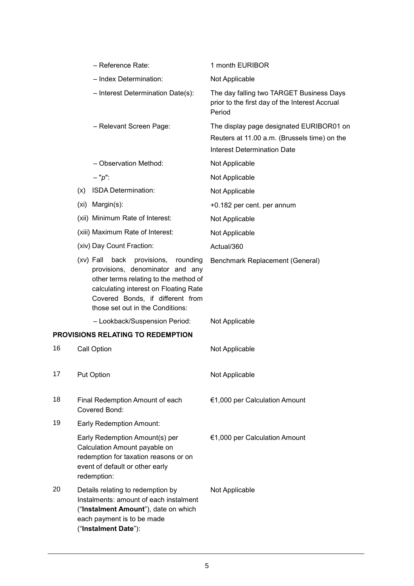|                                          | - Reference Rate:                                                                                                                                                                                                                           | 1 month EURIBOR                                                                                                                |
|------------------------------------------|---------------------------------------------------------------------------------------------------------------------------------------------------------------------------------------------------------------------------------------------|--------------------------------------------------------------------------------------------------------------------------------|
|                                          | - Index Determination:                                                                                                                                                                                                                      | Not Applicable                                                                                                                 |
|                                          | - Interest Determination Date(s):                                                                                                                                                                                                           | The day falling two TARGET Business Days<br>prior to the first day of the Interest Accrual<br>Period                           |
|                                          | - Relevant Screen Page:                                                                                                                                                                                                                     | The display page designated EURIBOR01 on<br>Reuters at 11.00 a.m. (Brussels time) on the<br><b>Interest Determination Date</b> |
|                                          | - Observation Method:                                                                                                                                                                                                                       | Not Applicable                                                                                                                 |
|                                          | $- "p":$                                                                                                                                                                                                                                    | Not Applicable                                                                                                                 |
|                                          | ISDA Determination:<br>(x)                                                                                                                                                                                                                  | Not Applicable                                                                                                                 |
|                                          | (xi) Margin(s):                                                                                                                                                                                                                             | +0.182 per cent. per annum                                                                                                     |
|                                          | (xii) Minimum Rate of Interest:                                                                                                                                                                                                             | Not Applicable                                                                                                                 |
|                                          | (xiii) Maximum Rate of Interest:                                                                                                                                                                                                            | Not Applicable                                                                                                                 |
|                                          | (xiv) Day Count Fraction:                                                                                                                                                                                                                   | Actual/360                                                                                                                     |
|                                          | $(xv)$ Fall<br>back<br>provisions,<br>rounding<br>provisions, denominator and any<br>other terms relating to the method of<br>calculating interest on Floating Rate<br>Covered Bonds, if different from<br>those set out in the Conditions: | Benchmark Replacement (General)                                                                                                |
|                                          | - Lookback/Suspension Period:                                                                                                                                                                                                               | Not Applicable                                                                                                                 |
| <b>PROVISIONS RELATING TO REDEMPTION</b> |                                                                                                                                                                                                                                             |                                                                                                                                |
| 16                                       | Call Option                                                                                                                                                                                                                                 | Not Applicable                                                                                                                 |
| 17                                       | <b>Put Option</b>                                                                                                                                                                                                                           | Not Applicable                                                                                                                 |
| 18                                       | Final Redemption Amount of each<br>Covered Bond:                                                                                                                                                                                            | €1,000 per Calculation Amount                                                                                                  |
| 19                                       | Early Redemption Amount:                                                                                                                                                                                                                    |                                                                                                                                |
|                                          | Early Redemption Amount(s) per<br>Calculation Amount payable on<br>redemption for taxation reasons or on<br>event of default or other early<br>redemption:                                                                                  | €1,000 per Calculation Amount                                                                                                  |
| 20                                       | Details relating to redemption by<br>Instalments: amount of each instalment<br>("Instalment Amount"), date on which<br>each payment is to be made<br>("Instalment Date"):                                                                   | Not Applicable                                                                                                                 |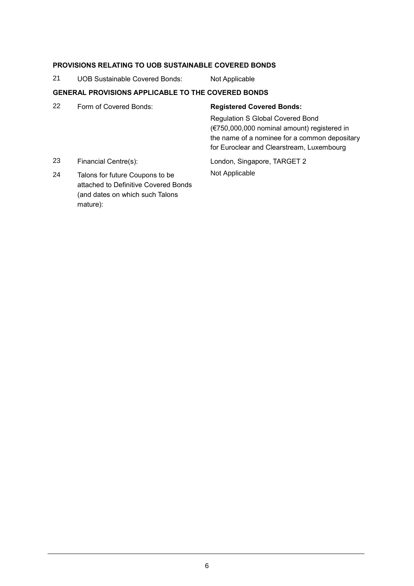### **PROVISIONS RELATING TO UOB SUSTAINABLE COVERED BONDS**

21 UOB Sustainable Covered Bonds: Not Applicable

### **GENERAL PROVISIONS APPLICABLE TO THE COVERED BONDS**

- 22 Form of Covered Bonds: **Registered Covered Bonds:** Regulation S Global Covered Bond (€750,000,000 nominal amount) registered in the name of a nominee for a common depositary for Euroclear and Clearstream, Luxembourg 23 Financial Centre(s): London, Singapore, TARGET 2 24 Talons for future Coupons to be Not Applicable
- attached to Definitive Covered Bonds (and dates on which such Talons mature):

6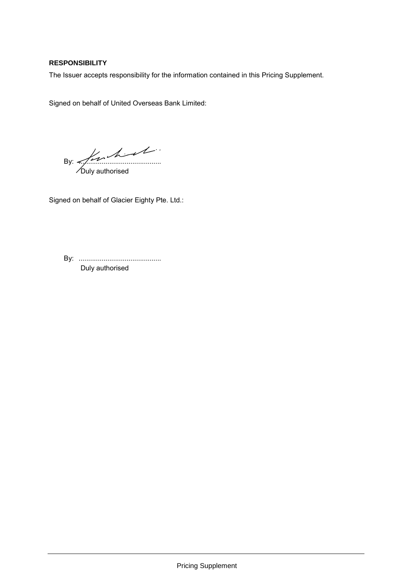## **RESPONSIBILITY**

The Issuer accepts responsibility for the information contained in this Pricing Supplement.

Signed on behalf of United Overseas Bank Limited:

By:  $\frac{2}{\sqrt{2}}$ 

Duly authorised

Signed on behalf of Glacier Eighty Pte. Ltd.:

By: ........................................... Duly authorised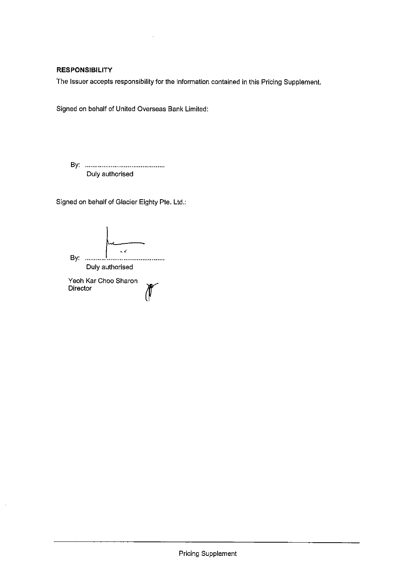## **RESPONSIBILITY**

The Issuer accepts responsibility for the information contained in this Pricing Supplement.

Signed on behalf of United Overseas Bank Limited:

Duly authorised

Signed on behalf of Glacier Eighty Pte. Ltd.:

 $\mathbf{z}$ Duly authorised Yeoh Kar Choo Sharon

Director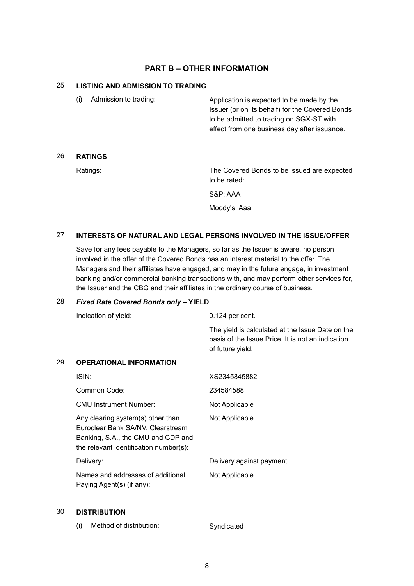# **PART B – OTHER INFORMATION**

#### 25 **LISTING AND ADMISSION TO TRADING**

| Admission to trading: | Application is expected to be made by the<br>Issuer (or on its behalf) for the Covered Bonds |
|-----------------------|----------------------------------------------------------------------------------------------|
|                       | to be admitted to trading on SGX-ST with                                                     |
|                       | effect from one business day after issuance.                                                 |
|                       |                                                                                              |

### 26 **RATINGS**

Ratings: The Covered Bonds to be issued are expected to be rated:

S&P: AAA

Moody's: Aaa

## 27 **INTERESTS OF NATURAL AND LEGAL PERSONS INVOLVED IN THE ISSUE/OFFER**

Save for any fees payable to the Managers, so far as the Issuer is aware, no person involved in the offer of the Covered Bonds has an interest material to the offer. The Managers and their affiliates have engaged, and may in the future engage, in investment banking and/or commercial banking transactions with, and may perform other services for, the Issuer and the CBG and their affiliates in the ordinary course of business.

#### 28 *Fixed Rate Covered Bonds only* **– YIELD**

|    | Indication of yield:                                                                                                                                   | $0.124$ per cent.                                                                                                         |
|----|--------------------------------------------------------------------------------------------------------------------------------------------------------|---------------------------------------------------------------------------------------------------------------------------|
|    |                                                                                                                                                        | The yield is calculated at the Issue Date on the<br>basis of the Issue Price. It is not an indication<br>of future yield. |
| 29 | <b>OPERATIONAL INFORMATION</b>                                                                                                                         |                                                                                                                           |
|    | ISIN:                                                                                                                                                  | XS2345845882                                                                                                              |
|    | Common Code:                                                                                                                                           | 234584588                                                                                                                 |
|    | <b>CMU Instrument Number:</b>                                                                                                                          | Not Applicable                                                                                                            |
|    | Any clearing system(s) other than<br>Euroclear Bank SA/NV, Clearstream<br>Banking, S.A., the CMU and CDP and<br>the relevant identification number(s): | Not Applicable                                                                                                            |
|    | Delivery:                                                                                                                                              | Delivery against payment                                                                                                  |
|    | Names and addresses of additional<br>Paying Agent(s) (if any):                                                                                         | Not Applicable                                                                                                            |
|    |                                                                                                                                                        |                                                                                                                           |

#### 30 **DISTRIBUTION**

(i) Method of distribution: Syndicated